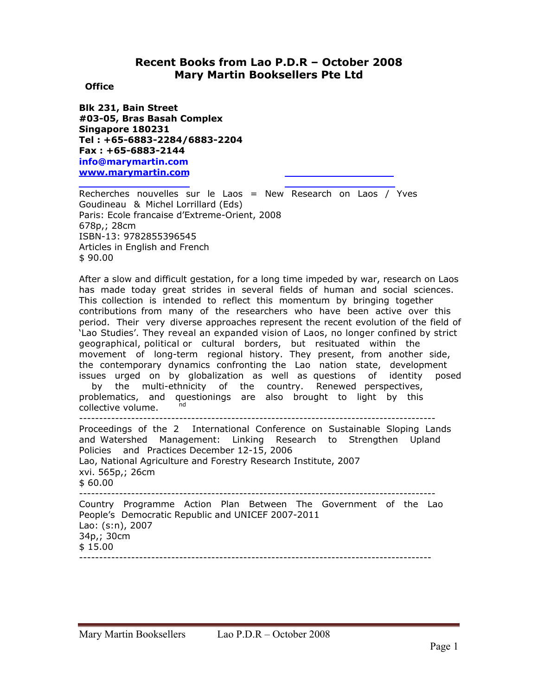## **Recent Books from Lao P.D.R – October 2008 Mary Martin Booksellers Pte Ltd**

## **Office**

**Blk 231, Bain Street #03-05, Bras Basah Complex Singapore 180231 Tel : +65-6883-2284/6883-2204 Fax : +65-6883-2144 info@marymartin.com www.marymartin.com**

Recherches nouvelles sur le Laos = New Research on Laos / Yves Goudineau & Michel Lorrillard (Eds) Paris: Ecole francaise d'Extreme-Orient, 2008 678p,; 28cm ISBN-13: 9782855396545 Articles in English and French \$ 90.00

After a slow and difficult gestation, for a long time impeded by war, research on Laos has made today great strides in several fields of human and social sciences. This collection is intended to reflect this momentum by bringing together contributions from many of the researchers who have been active over this period. Their very diverse approaches represent the recent evolution of the field of 'Lao Studies'. They reveal an expanded vision of Laos, no longer confined by strict geographical, political or cultural borders, but resituated within the movement of long-term regional history. They present, from another side, the contemporary dynamics confronting the Lao nation state, development issues urged on by globalization as well as questions of identity posed by the multi-ethnicity of the country. Renewed perspectives, problematics, and questionings are also brought to light by this collective volume. ----------------------------------------------------------------------------------------- Proceedings of the 2 International Conference on Sustainable Sloping Lands nd and Watershed Management: Linking Research to Strengthen Upland Policies and Practices December 12-15, 2006 Lao, National Agriculture and Forestry Research Institute, 2007 xvi. 565p,; 26cm \$ 60.00 ----------------------------------------------------------------------------------------- Country Programme Action Plan Between The Government of the Lao People's Democratic Republic and UNICEF 2007-2011 Lao: (s:n), 2007 34p,; 30cm \$ 15.00 ----------------------------------------------------------------------------------------